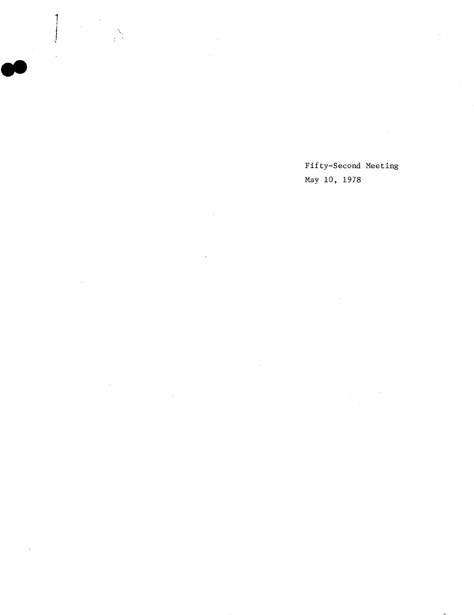Fifty-Second Meeting May 10, 1978

l.

 $\frac{N}{1}$ 

 $\sim$ 

 $\mathcal{L}$ 

 $\bar{\mathcal{A}}$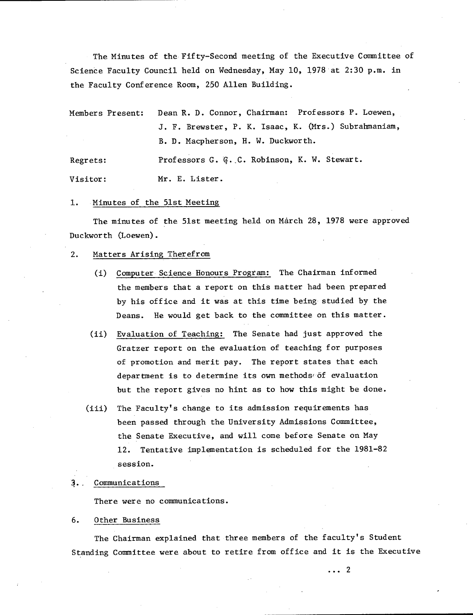The Minutes of the Fifty-Second meeting of the Executive Committee of Science Faculty Council held on Wednesday, May 10, 1978 at 2:30 p.m. in the Faculty Conference Room, 250 Allen Building.

| Members Present: | Dean R. D. Connor, Chairman: Professors P. Loewen,   |
|------------------|------------------------------------------------------|
|                  | J. F. Brewster, P. K. Isaac, K. (Mrs.) Subrahmaniam, |
|                  | B. D. Macpherson, H. W. Duckworth.                   |
| Regrets:         | Professors G. G. C. Robinson, K. W. Stewart.         |
| Visitor:         | Mr. E. Lister.                                       |

1. Minutes of the 51st Meeting

The minutes of the 51st meeting held on March 28, 1978 were approved Duckworth (Loewen).

- $2.$ Matters Arising Therefrom
	- (1) Computer Science Honours Program: The Chairman informed the members that a report on this matter had been prepared by his office and it was at this time being studied by the Deans. He would get back to the committee on this matter.
	- Evaluation of Teaching: The Senate had just approved the Gratzer report on the evaluation of teaching for purposes of promotion and merit pay. The report states that each department is to determine its own methods of evaluation but the report gives no hint as to how this might be done.
	- The Faculty's change to its admission requirements has  $(iii)$ been passed through the University Admissions Committee, the Senate Executive, and will come before Senate on May 12. Tentative implementation is scheduled for the 1981-82 session.
- 3., Communications

There were no communications.

6. Other Business

The Chairman explained that three members of the faculty's Student Standing Committee were about to retire from office and it is the Executive

 $\cdots$  2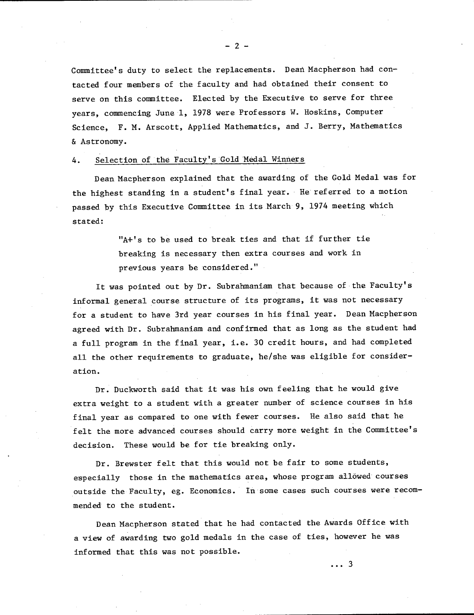Committee's duty to select the replacements. Dean Macpherson had contacted four members of the faculty and had obtained their consent to serve on this committee. Elected by the Executive to serve for three years, commencing June 1, 1978 were Professors W. Hoskins, Computer Science, F. M. Arscott, Applied Mathematics, and J. Berry, Mathematics & Astronomy.

## 4. Selection of the Faculty's Gold Medal Winners

Dean Macpherson explained that the awarding of the Gold Medal was for the highest standing in a student's final year. He referred to a motion passed by this Executive Committee in its March 9, 1974 meeting which stated:

> "A+'s to be used to break ties and that if further tie breaking is necessary then extra courses and work in previous years be considered."

It was pointed out by Dr. Subrahmaniam that because of the Faculty's informal general course structure of its programs, it was not necessary for a student to have 3rd year courses in his final year. Dean Macpherson agreed with Dr. Subrahmaniam and confirmed that as long as the student had a full program in the final year, **i.e.** 30 credit hours, and had completed all the other requirements to graduate, he/she was eligible for consideration.

Dr. Duckworth said that it was his own feeling that he would give extra weight to a student with a greater number of science courses in his final year as compared to one with fewer courses. He also said that he felt the more advanced courses should carry more weight in the Committee's decision. These would be for tie breaking only.

Dr. Brewster felt that this would not be fair to some students, especially those in the mathematics area, whose program allowed courses outside the Faculty, eg. Economics. In some cases such courses were recommended to the student.

Dean Macpherson stated that he had contacted the Awards Office with a view of awarding two gold medals in the case of ties, however he was informed that this was not possible.

 $-2-$ 

...3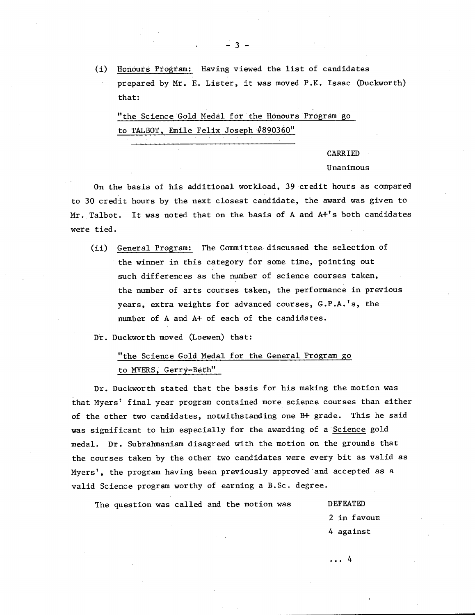(i) Honours Program: Having viewed the list of candidates prepared by Mr. E. Lister, it was moved P.K. Isaac (Duckworth) that:

"the Science Gold Medal for the Honours Program go to TALBOT, Emile Felix Joseph #890360"

> CARRIED Unanimous

On the basis of his additional workload, 39 credit hours as compared to 30 credit hours by the next closest candidate, the award was given to Mr. Talbot. It was noted that on the basis of A and A+'s both candidates were tied.

(ii) General Program: The Committee discussed the selection of the winner in this category for some time, pointing out such differences as the number of science courses taken, the number of arts courses taken, the performance in previous years, extra weights for advanced courses, G.P.A.'s, the number of A and A+ of each of the candidates.

Dr. Duckworth moved (Loewen) that:

"the Science Gold Medal for the General Program go to MYERS, Gerry-Beth"

Dr. Duckworth stated that the basis for his making the motion was that Myers' final year program contained more science courses than either of the other two candidates, notwithstanding one B+ grade. This he said was significant to him especially for the awarding of a Science gold medal. Dr. Subrahmaniam disagreed with the motion on the grounds that the courses taken by the other two candidates were every bit as valid as Myers', the program having been previously approved and accepted as a valid Science program worthy of earning a B.Sc. degree.

The question was called and the motion was DEFEATED

2 in favouE 4 against

... 4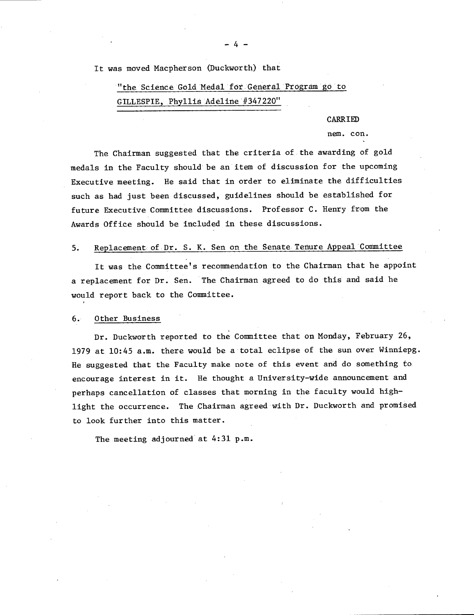It was moved Macpherson (Duckworth) that

"the Science Gold Medal for General Program go to GILLESPIE, Phyllis Adeline #347220"

## CARRIED

### nem. con.

The Chairman suggested that the criteria of the awarding of gold medals in the Faculty should be an item of discussion for the upcoming Executive meeting. He said that in order to eliminate the difficulties such as had just been discussed, guidelines should be established for future Executive Committee discussions. Professor C. Henry from the Awards Office should be included in these discussions.

#### Replacement of Dr. S. K. Sen on the Senate Tenure Appeal Committee  $5.$

It was the Committee's recommendation to the Chairman that he appoint a replacement for Dr. Sen. The Chairman agreed to do this and said he would report back to the Committee.

#### $6.$ Other Business

Dr. Duckworth reported to the Committee that on Monday, February 26, 1979 at 10:45 a.m. there would be a total eclipse of the sun over Winniepg. He suggested that the Faculty make note of this event and do something to encourage interest in it. He thought a University-wide announcement and perhaps cancellation of classes that morning in the faculty would highlight the occurrence. The Chairman agreed with Dr. Duckworth and promised to look further into this matter.

The meeting adjourned at 4:31 p.m.